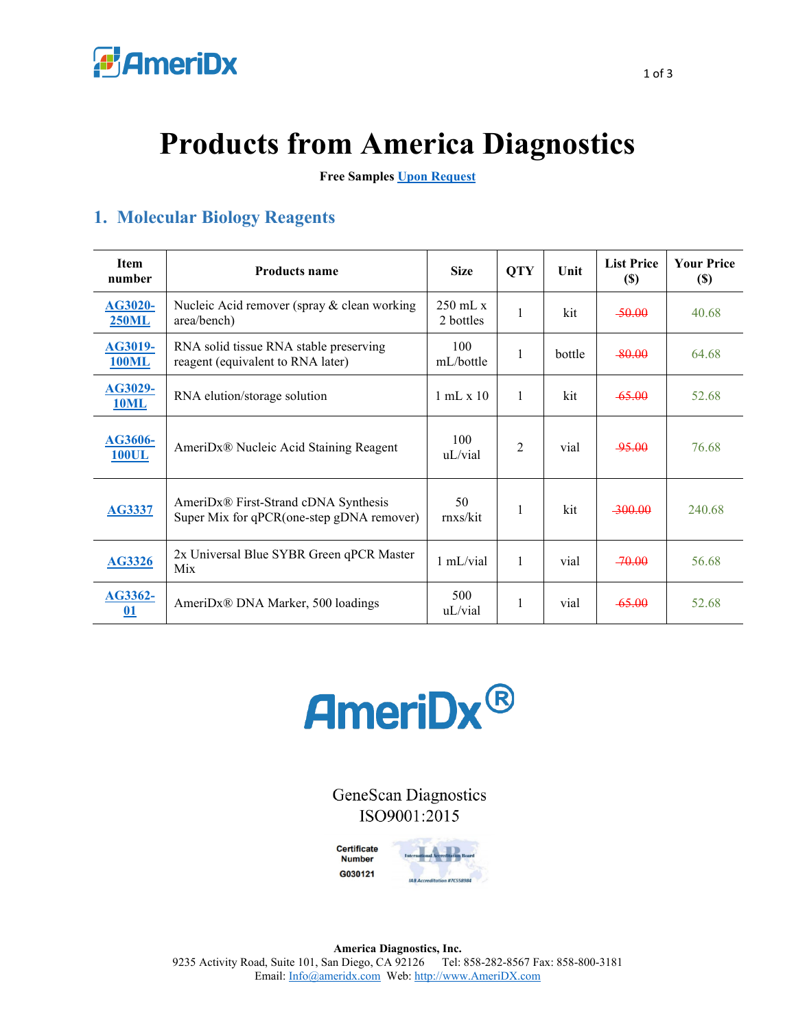

## **Products from America Diagnostics**

**Free Samples [Upon Request](https://www.ameridx.com/webdir/free-samples-request)**

## **1. Molecular Biology Reagents**

| Item<br>number                 | <b>Products name</b>                                                              | <b>Size</b>                     | <b>QTY</b>     | Unit   | <b>List Price</b><br>(S) | <b>Your Price</b><br>$(\$)$ |
|--------------------------------|-----------------------------------------------------------------------------------|---------------------------------|----------------|--------|--------------------------|-----------------------------|
| <b>AG3020-</b><br><b>250ML</b> | Nucleic Acid remover (spray & clean working<br>area/bench)                        | $250 \text{ mL x}$<br>2 bottles | 1              | kit    | $-50.00$                 | 40.68                       |
| <b>AG3019-</b><br><b>100ML</b> | RNA solid tissue RNA stable preserving<br>reagent (equivalent to RNA later)       | 100<br>mL/bottle                | 1              | bottle | $-80.00$                 | 64.68                       |
| <b>AG3029-</b><br><b>10ML</b>  | RNA elution/storage solution                                                      | 1 mL x 10                       | 1              | kit    | $-65.00$                 | 52.68                       |
| AG3606-<br><b>100UL</b>        | AmeriDx® Nucleic Acid Staining Reagent                                            | 100<br>uL/vial                  | $\overline{2}$ | vial   | -95.00                   | 76.68                       |
| <b>AG3337</b>                  | AmeriDx® First-Strand cDNA Synthesis<br>Super Mix for qPCR(one-step gDNA remover) | 50<br>rnxs/kit                  | 1              | kit    | -300.00                  | 240.68                      |
| <b>AG3326</b>                  | 2x Universal Blue SYBR Green qPCR Master<br>Mix                                   | 1 mL/vial                       | 1              | vial   | $-70.00$                 | 56.68                       |
| AG3362-<br>$\underline{01}$    | AmeriDx® DNA Marker, 500 loadings                                                 | 500<br>uL/vial                  |                | vial   | $-65.00$                 | 52.68                       |



**GeneScan Diagnostics** ISO9001:2015

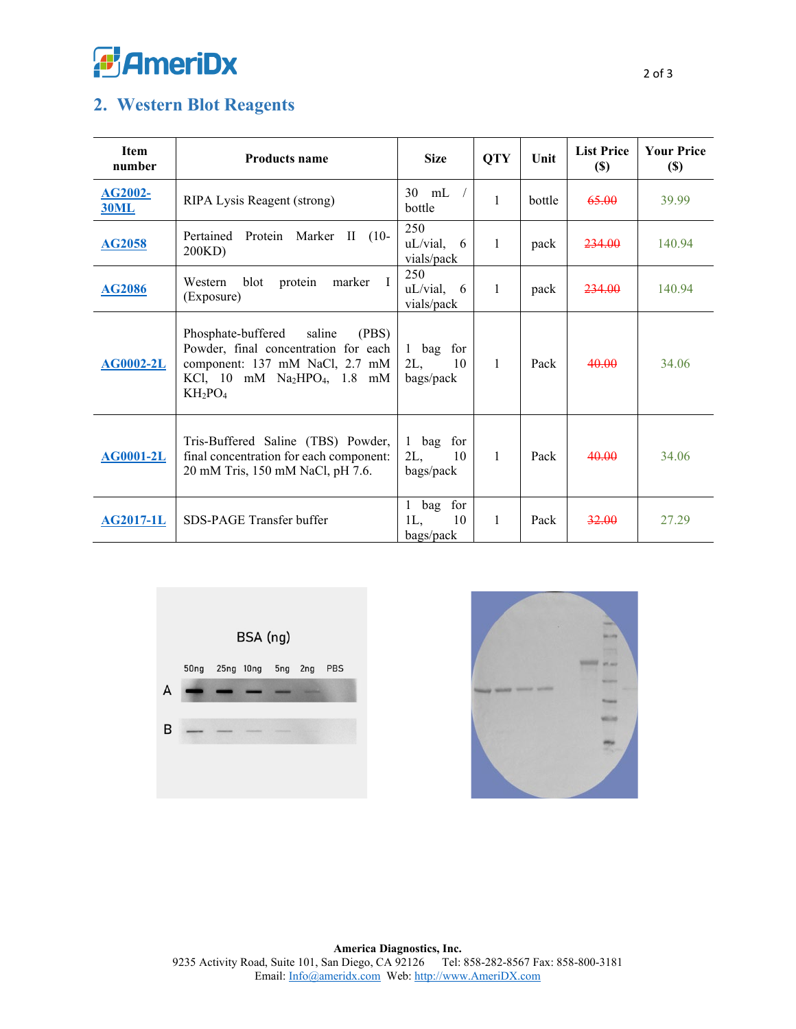

## **2. Western Blot Reagents**

| <b>Item</b><br>number         | <b>Products name</b>                                                                                                                                           | <b>Size</b>                            | <b>QTY</b> | Unit   | <b>List Price</b><br>$(\$)$ | <b>Your Price</b><br>$(\$)$ |
|-------------------------------|----------------------------------------------------------------------------------------------------------------------------------------------------------------|----------------------------------------|------------|--------|-----------------------------|-----------------------------|
| <b>AG2002-</b><br><b>30ML</b> | RIPA Lysis Reagent (strong)                                                                                                                                    | 30<br>mL<br>bottle                     | 1          | bottle | 65.00                       | 39.99                       |
| <b>AG2058</b>                 | Pertained<br>Protein<br>Marker<br>$(10-$<br>П<br>200KD)                                                                                                        | 250<br>uL/vial,<br>-6<br>vials/pack    | 1          | pack   | 234.00                      | 140.94                      |
| <b>AG2086</b>                 | blot<br>protein<br>marker<br>$\mathbf{I}$<br>Western<br>(Exposure)                                                                                             | 250<br>uL/vial,<br>-6<br>vials/pack    | 1          | pack   | 234.00                      | 140.94                      |
| <b>AG0002-2L</b>              | Phosphate-buffered<br>saline<br>(PBS)<br>Powder, final concentration for each<br>component: 137 mM NaCl, 2.7 mM<br>KCl, 10 mM $Na2HPO4$ , 1.8 mM<br>$KH_2PO_4$ | 1 bag for<br>2L,<br>10<br>bags/pack    | 1          | Pack   | 40.00                       | 34.06                       |
| <b>AG0001-2L</b>              | Tris-Buffered Saline (TBS) Powder,<br>final concentration for each component:<br>20 mM Tris, 150 mM NaCl, pH 7.6.                                              | 1 bag for<br>$2L$ ,<br>10<br>bags/pack | 1          | Pack   | 40.00                       | 34.06                       |
| <b>AG2017-1L</b>              | SDS-PAGE Transfer buffer                                                                                                                                       | bag for<br>1<br>1L,<br>10<br>bags/pack | 1          | Pack   | 32.00                       | 27.29                       |